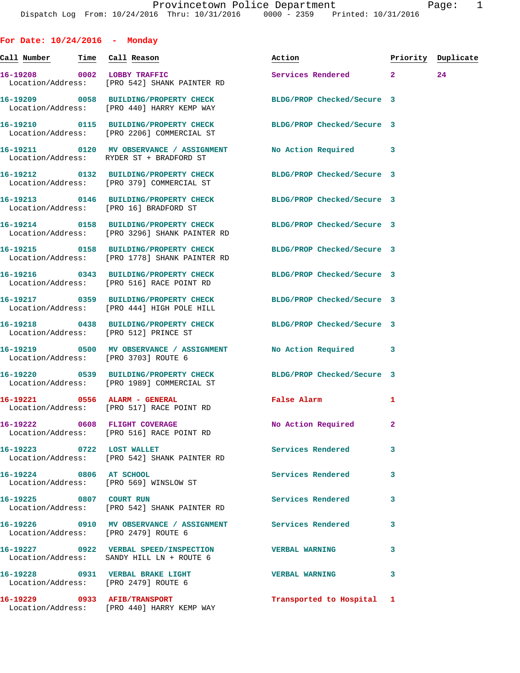| For Date: $10/24/2016$ - Monday      |                                                                                                                   |                                  |              |    |
|--------------------------------------|-------------------------------------------------------------------------------------------------------------------|----------------------------------|--------------|----|
|                                      | <u>Call Number — Time Call Reason</u>                                                                             | Action <b>Priority</b> Duplicate |              |    |
|                                      | 16-19208 0002 LOBBY TRAFFIC<br>Location/Address: [PRO 542] SHANK PAINTER RD                                       | Services Rendered 2              |              | 24 |
|                                      | 16-19209 0058 BUILDING/PROPERTY CHECK BLDG/PROP Checked/Secure 3<br>Location/Address: [PRO 440] HARRY KEMP WAY    |                                  |              |    |
|                                      | 16-19210 0115 BUILDING/PROPERTY CHECK BLDG/PROP Checked/Secure 3<br>Location/Address: [PRO 2206] COMMERCIAL ST    |                                  |              |    |
|                                      | 16-19211 0120 MV OBSERVANCE / ASSIGNMENT No Action Required 3<br>Location/Address: RYDER ST + BRADFORD ST         |                                  |              |    |
|                                      | 16-19212 0132 BUILDING/PROPERTY CHECK<br>Location/Address: [PRO 379] COMMERCIAL ST                                | BLDG/PROP Checked/Secure 3       |              |    |
|                                      | 16-19213 0146 BUILDING/PROPERTY CHECK BLDG/PROP Checked/Secure 3<br>Location/Address: [PRO 16] BRADFORD ST        |                                  |              |    |
|                                      | 16-19214 0158 BUILDING/PROPERTY CHECK BLDG/PROP Checked/Secure 3<br>Location/Address: [PRO 3296] SHANK PAINTER RD |                                  |              |    |
|                                      | 16-19215 0158 BUILDING/PROPERTY CHECK BLDG/PROP Checked/Secure 3<br>Location/Address: [PRO 1778] SHANK PAINTER RD |                                  |              |    |
|                                      | 16-19216 0343 BUILDING/PROPERTY CHECK BLDG/PROP Checked/Secure 3<br>Location/Address: [PRO 516] RACE POINT RD     |                                  |              |    |
|                                      | 16-19217 0359 BUILDING/PROPERTY CHECK BLDG/PROP Checked/Secure 3<br>Location/Address: [PRO 444] HIGH POLE HILL    |                                  |              |    |
|                                      | 16-19218 0438 BUILDING/PROPERTY CHECK BLDG/PROP Checked/Secure 3<br>Location/Address: [PRO 512] PRINCE ST         |                                  |              |    |
|                                      | 16-19219 0500 MV OBSERVANCE / ASSIGNMENT No Action Required 3<br>Location/Address: [PRO 3703] ROUTE 6             |                                  |              |    |
|                                      | 16-19220 0539 BUILDING/PROPERTY CHECK BLDG/PROP Checked/Secure 3<br>Location/Address: [PRO 1989] COMMERCIAL ST    |                                  |              |    |
|                                      | 16-19221 0556 ALARM - GENERAL<br>Location/Address: [PRO 517] RACE POINT RD                                        | <b>False Alarm</b>               | 1            |    |
|                                      | 16-19222 0608 FLIGHT COVERAGE<br>Location/Address: [PRO 516] RACE POINT RD                                        | No Action Required               | $\mathbf{2}$ |    |
|                                      | 16-19223 0722 LOST WALLET<br>Location/Address: [PRO 542] SHANK PAINTER RD                                         | Services Rendered                | 3            |    |
| 16-19224 0806 AT SCHOOL              | Location/Address: [PRO 569] WINSLOW ST                                                                            | Services Rendered                | 3            |    |
|                                      | 16-19225 0807 COURT RUN<br>Location/Address: [PRO 542] SHANK PAINTER RD                                           | Services Rendered                | 3            |    |
| Location/Address: [PRO 2479] ROUTE 6 | 16-19226 0910 MV OBSERVANCE / ASSIGNMENT Services Rendered                                                        |                                  | 3            |    |
|                                      | 16-19227 0922 VERBAL SPEED/INSPECTION VERBAL WARNING<br>Location/Address: SANDY HILL LN + ROUTE 6                 |                                  | 3            |    |
| Location/Address: [PRO 2479] ROUTE 6 | 16-19228 0931 VERBAL BRAKE LIGHT                                                                                  | <b>VERBAL WARNING</b>            | 3            |    |
| 16-19229 0933 AFIB/TRANSPORT         |                                                                                                                   | Transported to Hospital 1        |              |    |

Location/Address: [PRO 440] HARRY KEMP WAY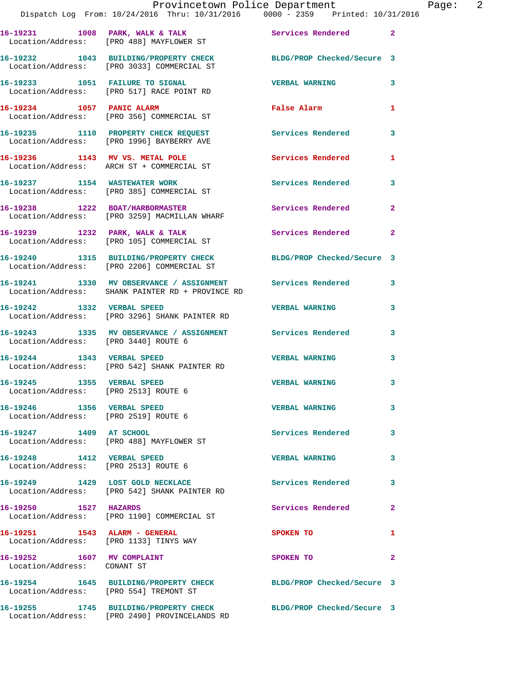|                                                                          | Provincetown Police Department<br>Dispatch Log From: 10/24/2016 Thru: 10/31/2016 0000 - 2359 Printed: 10/31/2016 |                            |                |
|--------------------------------------------------------------------------|------------------------------------------------------------------------------------------------------------------|----------------------------|----------------|
|                                                                          |                                                                                                                  |                            |                |
|                                                                          | 16-19231 1008 PARK, WALK & TALK 1997 Services Rendered<br>Location/Address: [PRO 488] MAYFLOWER ST               |                            | $\overline{2}$ |
|                                                                          | 16-19232 1043 BUILDING/PROPERTY CHECK BLDG/PROP Checked/Secure 3<br>Location/Address: [PRO 3033] COMMERCIAL ST   |                            |                |
|                                                                          | 16-19233 1051 FAILURE TO SIGNAL<br>Location/Address: [PRO 517] RACE POINT RD                                     | <b>VERBAL WARNING</b>      | 3              |
| 16-19234 1057 PANIC ALARM                                                | Location/Address: [PRO 356] COMMERCIAL ST                                                                        | False Alarm                | 1              |
|                                                                          | 16-19235 1110 PROPERTY CHECK REQUEST<br>Location/Address: [PRO 1996] BAYBERRY AVE                                | Services Rendered          | 3              |
|                                                                          | 16-19236 1143 MV VS. METAL POLE<br>Location/Address: ARCH ST + COMMERCIAL ST                                     | Services Rendered          | 1              |
|                                                                          | 16-19237 1154 WASTEWATER WORK<br>Location/Address: [PRO 385] COMMERCIAL ST                                       | <b>Services Rendered</b>   | 3              |
|                                                                          | 16-19238 1222 BOAT/HARBORMASTER<br>Location/Address: [PRO 3259] MACMILLAN WHARF                                  | Services Rendered          | $\mathbf{2}$   |
|                                                                          | 16-19239 1232 PARK, WALK & TALK<br>Location/Address: [PRO 105] COMMERCIAL ST                                     | <b>Services Rendered</b>   | $\overline{2}$ |
|                                                                          | 16-19240 1315 BUILDING/PROPERTY CHECK<br>Location/Address: [PRO 2206] COMMERCIAL ST                              | BLDG/PROP Checked/Secure 3 |                |
|                                                                          | 16-19241 1330 MV OBSERVANCE / ASSIGNMENT Services Rendered<br>Location/Address: SHANK PAINTER RD + PROVINCE RD   |                            | 3              |
| 16-19242 1332 VERBAL SPEED                                               | Location/Address: [PRO 3296] SHANK PAINTER RD                                                                    | <b>VERBAL WARNING</b>      | 3              |
| Location/Address: [PRO 3440] ROUTE 6                                     | 16-19243 1335 MV OBSERVANCE / ASSIGNMENT Services Rendered                                                       |                            | 3              |
| 16-19244 1343 VERBAL SPEED                                               | Location/Address: [PRO 542] SHANK PAINTER RD                                                                     | <b>VERBAL WARNING</b>      | 3              |
| 16-19245 1355 VERBAL SPEED<br>Location/Address: [PRO 2513] ROUTE 6       |                                                                                                                  | <b>VERBAL WARNING</b>      | 3              |
| 16-19246 1356 VERBAL SPEED<br>Location/Address: [PRO 2519] ROUTE 6       |                                                                                                                  | <b>VERBAL WARNING</b>      | 3              |
| 16-19247 1409 AT SCHOOL                                                  | Location/Address: [PRO 488] MAYFLOWER ST                                                                         | Services Rendered          | 3              |
| 16-19248    1412    VERBAL SPEED<br>Location/Address: [PRO 2513] ROUTE 6 |                                                                                                                  | <b>VERBAL WARNING</b>      | 3              |
| 16-19249 1429 LOST GOLD NECKLACE                                         | Location/Address: [PRO 542] SHANK PAINTER RD                                                                     | <b>Services Rendered</b>   | 3              |
| 16-19250 1527 HAZARDS                                                    | Location/Address: [PRO 1190] COMMERCIAL ST                                                                       | <b>Services Rendered</b>   | $\mathbf{2}$   |
| 16-19251 1543 ALARM - GENERAL                                            | Location/Address: [PRO 1133] TINYS WAY                                                                           | SPOKEN TO                  | 1              |
| 16-19252 1607 MV COMPLAINT<br>Location/Address: CONANT ST                |                                                                                                                  | SPOKEN TO                  | 2              |
| Location/Address: [PRO 554] TREMONT ST                                   | 16-19254 1645 BUILDING/PROPERTY CHECK BLDG/PROP Checked/Secure 3                                                 |                            |                |
|                                                                          | 16-19255 1745 BUILDING/PROPERTY CHECK BLDG/PROP Checked/Secure 3                                                 |                            |                |

Page: 2

Location/Address: [PRO 2490] PROVINCELANDS RD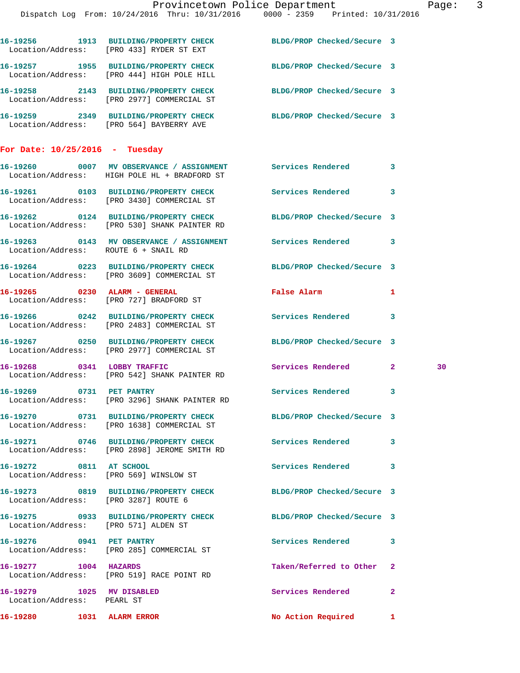|                                                         | Provincetown Police Department<br>Dispatch Log From: 10/24/2016 Thru: 10/31/2016 0000 - 2359 Printed: 10/31/2016                                   |                                                             | Page: 3                 |
|---------------------------------------------------------|----------------------------------------------------------------------------------------------------------------------------------------------------|-------------------------------------------------------------|-------------------------|
|                                                         | 16-19256 1913 BUILDING/PROPERTY CHECK BLDG/PROP Checked/Secure 3<br>Location/Address: [PRO 433] RYDER ST EXT                                       |                                                             |                         |
|                                                         | 16-19257 1955 BUILDING/PROPERTY CHECK BLDG/PROP Checked/Secure 3<br>Location/Address: [PRO 444] HIGH POLE HILL                                     |                                                             |                         |
|                                                         | 16-19258 2143 BUILDING/PROPERTY CHECK BLDG/PROP Checked/Secure 3<br>Location/Address: [PRO 2977] COMMERCIAL ST                                     |                                                             |                         |
|                                                         | 16-19259 2349 BUILDING/PROPERTY CHECK BLDG/PROP Checked/Secure 3<br>Location/Address: [PRO 564] BAYBERRY AVE                                       |                                                             |                         |
| For Date: $10/25/2016$ - Tuesday                        |                                                                                                                                                    |                                                             |                         |
|                                                         | 16-19260 0007 MV OBSERVANCE / ASSIGNMENT Services Rendered 3<br>Location/Address: HIGH POLE HL + BRADFORD ST                                       |                                                             |                         |
|                                                         | 16-19261 0103 BUILDING/PROPERTY CHECK<br>Location/Address: [PRO 3430] COMMERCIAL ST                                                                | Services Rendered                                           | 3                       |
|                                                         | 16-19262 0124 BUILDING/PROPERTY CHECK BLDG/PROP Checked/Secure 3<br>Location/Address: [PRO 530] SHANK PAINTER RD                                   |                                                             |                         |
| Location/Address: ROUTE 6 + SNAIL RD                    | 16-19263 0143 MV OBSERVANCE / ASSIGNMENT Services Rendered 3                                                                                       |                                                             |                         |
|                                                         | 16-19264 0223 BUILDING/PROPERTY CHECK BLDG/PROP Checked/Secure 3<br>Location/Address: [PRO 3609] COMMERCIAL ST                                     |                                                             |                         |
|                                                         | 16-19265 0230 ALARM - GENERAL<br>Location/Address: [PRO 727] BRADFORD ST                                                                           | False Alarm <b>Exercise Service Service</b><br>$\mathbf{1}$ |                         |
|                                                         | 16-19266 0242 BUILDING/PROPERTY CHECK Services Rendered<br>Location/Address: [PRO 2483] COMMERCIAL ST                                              |                                                             | $\overline{\mathbf{3}}$ |
|                                                         | 16-19267 0250 BUILDING/PROPERTY CHECK BLDG/PROP Checked/Secure 3<br>Location/Address: [PRO 2977] COMMERCIAL ST                                     |                                                             |                         |
|                                                         | 16-19268 0341 LOBBY TRAFFIC<br>Location/Address: [PRO 542] SHANK PAINTER RD                                                                        | Services Rendered 2                                         | 30                      |
|                                                         | 16-19269 0731 PET PANTRY<br>Location/Address: [PRO 3296] SHANK PAINTER RD                                                                          | Services Rendered                                           | 3                       |
|                                                         | 16-19270 0731 BUILDING/PROPERTY CHECK<br>Location/Address: [PRO 1638] COMMERCIAL ST                                                                | BLDG/PROP Checked/Secure 3                                  |                         |
|                                                         | 16-19271 0746 BUILDING/PROPERTY CHECK                                                                                                              | Services Rendered 3                                         |                         |
| 16-19272 0811 AT SCHOOL                                 | Location/Address: [PRO 2898] JEROME SMITH RD                                                                                                       | Services Rendered 3                                         |                         |
|                                                         | Location/Address: [PRO 569] WINSLOW ST<br>16-19273 0819 BUILDING/PROPERTY CHECK BLDG/PROP Checked/Secure 3<br>Location/Address: [PRO 3287] ROUTE 6 |                                                             |                         |
|                                                         | 16-19275 0933 BUILDING/PROPERTY CHECK                                                                                                              | BLDG/PROP Checked/Secure 3                                  |                         |
| Location/Address: [PRO 571] ALDEN ST                    | 16-19276 0941 PET PANTRY                                                                                                                           | Services Rendered                                           | -3                      |
| 16-19277 1004 HAZARDS                                   | Location/Address: [PRO 285] COMMERCIAL ST                                                                                                          | Taken/Referred to Other 2                                   |                         |
|                                                         | Location/Address: [PRO 519] RACE POINT RD                                                                                                          |                                                             |                         |
| 16-19279 1025 MV DISABLED<br>Location/Address: PEARL ST |                                                                                                                                                    | Services Rendered 2                                         |                         |

16-19280 1031 ALARM ERROR No Action Required 1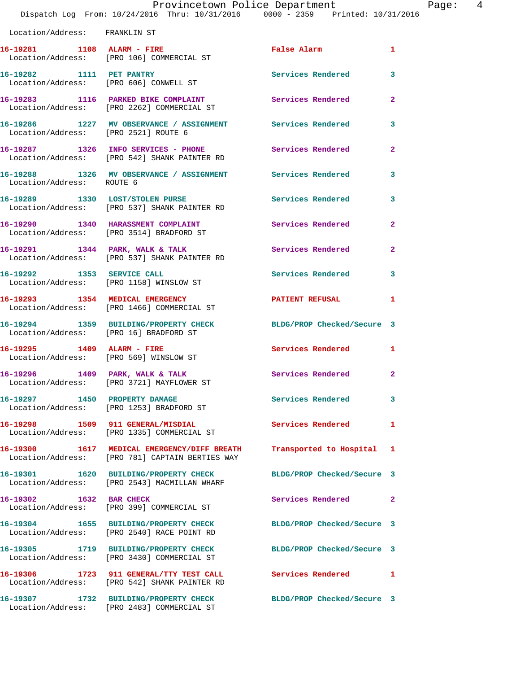|                               | Provincetown Police Department<br>Dispatch Log From: 10/24/2016 Thru: 10/31/2016 0000 - 2359 Printed: 10/31/2016 |                            |                         |
|-------------------------------|------------------------------------------------------------------------------------------------------------------|----------------------------|-------------------------|
| Location/Address: FRANKLIN ST |                                                                                                                  |                            |                         |
| 16-19281 1108 ALARM - FIRE    | Location/Address: [PRO 106] COMMERCIAL ST                                                                        | <b>False Alarm</b>         | 1                       |
| 16-19282 1111 PET PANTRY      | Location/Address: [PRO 606] CONWELL ST                                                                           | Services Rendered          | 3                       |
|                               | 16-19283 1116 PARKED BIKE COMPLAINT<br>Location/Address: [PRO 2262] COMMERCIAL ST                                | Services Rendered          | $\mathbf{2}$            |
|                               | 16-19286 1227 MV OBSERVANCE / ASSIGNMENT Services Rendered<br>Location/Address: [PRO 2521] ROUTE 6               |                            | 3                       |
|                               | 16-19287 1326 INFO SERVICES - PHONE<br>Location/Address: [PRO 542] SHANK PAINTER RD                              | <b>Services Rendered</b>   | $\overline{\mathbf{2}}$ |
| Location/Address: ROUTE 6     | 16-19288 1326 MV OBSERVANCE / ASSIGNMENT Services Rendered                                                       |                            | 3                       |
|                               | 16-19289 1330 LOST/STOLEN PURSE<br>Location/Address: [PRO 537] SHANK PAINTER RD                                  | <b>Services Rendered</b>   | 3                       |
|                               | 16-19290 1340 HARASSMENT COMPLAINT<br>Location/Address: [PRO 3514] BRADFORD ST                                   | <b>Services Rendered</b>   | $\mathbf{2}$            |
|                               | 16-19291 1344 PARK, WALK & TALK<br>Location/Address: [PRO 537] SHANK PAINTER RD                                  | Services Rendered          | $\overline{a}$          |
|                               | 16-19292 1353 SERVICE CALL<br>Location/Address: [PRO 1158] WINSLOW ST                                            | Services Rendered          | 3                       |
|                               | 16-19293 1354 MEDICAL EMERGENCY<br>Location/Address: [PRO 1466] COMMERCIAL ST                                    | <b>PATIENT REFUSAL</b>     | 1                       |
|                               | 16-19294 1359 BUILDING/PROPERTY CHECK<br>Location/Address: [PRO 16] BRADFORD ST                                  | BLDG/PROP Checked/Secure 3 |                         |
| 16-19295 1409 ALARM - FIRE    | Location/Address: [PRO 569] WINSLOW ST                                                                           | Services Rendered          | 1                       |
|                               | 16-19296 1409 PARK, WALK & TALK<br>Location/Address: [PRO 3721] MAYFLOWER ST                                     | <b>Services Rendered</b>   | $\overline{2}$          |
|                               | 16-19297 1450 PROPERTY DAMAGE<br>Location/Address: [PRO 1253] BRADFORD ST                                        | Services Rendered          | 3                       |
|                               | 16-19298 1509 911 GENERAL/MISDIAL<br>Location/Address: [PRO 1335] COMMERCIAL ST                                  | <b>Services Rendered</b>   | 1                       |
|                               | 16-19300 1617 MEDICAL EMERGENCY/DIFF BREATH<br>Location/Address: [PRO 781] CAPTAIN BERTIES WAY                   | Transported to Hospital    | 1                       |
|                               | 16-19301 1620 BUILDING/PROPERTY CHECK<br>Location/Address: [PRO 2543] MACMILLAN WHARF                            | BLDG/PROP Checked/Secure 3 |                         |
| 16-19302 1632 BAR CHECK       | Location/Address: [PRO 399] COMMERCIAL ST                                                                        | Services Rendered          | $\mathbf{2}$            |
|                               | 16-19304 1655 BUILDING/PROPERTY CHECK<br>Location/Address: [PRO 2540] RACE POINT RD                              | BLDG/PROP Checked/Secure 3 |                         |
|                               | 16-19305 1719 BUILDING/PROPERTY CHECK<br>Location/Address: [PRO 3430] COMMERCIAL ST                              | BLDG/PROP Checked/Secure 3 |                         |
|                               | 16-19306 1723 911 GENERAL/TTY TEST CALL                                                                          | Services Rendered          | 1                       |

Location/Address: [PRO 2483] COMMERCIAL ST

Location/Address: [PRO 542] SHANK PAINTER RD

**16-19307 1732 BUILDING/PROPERTY CHECK BLDG/PROP Checked/Secure 3** 

Page:  $4$ <br>16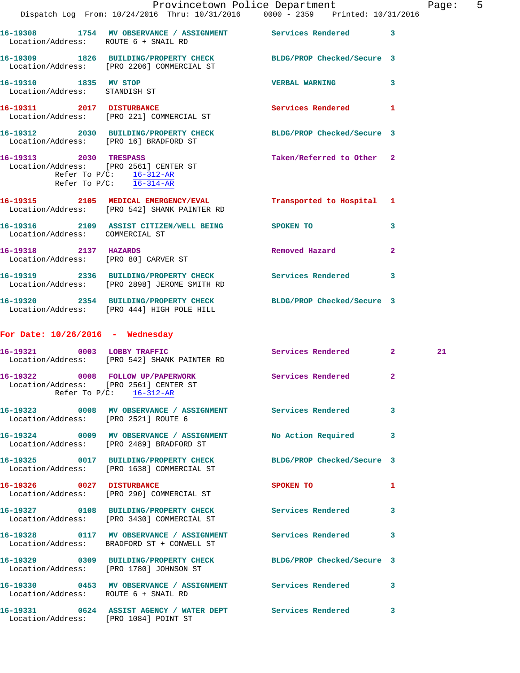|                                                                       | Dispatch Log From: 10/24/2016 Thru: 10/31/2016 0000 - 2359 Printed: 10/31/2016                                                | Provincetown Police Department |              | Page: | 5 |
|-----------------------------------------------------------------------|-------------------------------------------------------------------------------------------------------------------------------|--------------------------------|--------------|-------|---|
|                                                                       | 16-19308 1754 MV OBSERVANCE / ASSIGNMENT Services Rendered 3                                                                  |                                |              |       |   |
| Location/Address: ROUTE 6 + SNAIL RD                                  |                                                                                                                               |                                |              |       |   |
|                                                                       | 16-19309 1826 BUILDING/PROPERTY CHECK BLDG/PROP Checked/Secure 3<br>Location/Address: [PRO 2206] COMMERCIAL ST                |                                |              |       |   |
| 16-19310 1835 MV STOP<br>Location/Address: STANDISH ST                |                                                                                                                               | <b>VERBAL WARNING</b>          | 3            |       |   |
|                                                                       | 16-19311 2017 DISTURBANCE<br>Location/Address: [PRO 221] COMMERCIAL ST                                                        | <b>Services Rendered</b>       | $\mathbf{1}$ |       |   |
|                                                                       | 16-19312 2030 BUILDING/PROPERTY CHECK BLDG/PROP Checked/Secure 3<br>Location/Address: [PRO 16] BRADFORD ST                    |                                |              |       |   |
| 16-19313 2030 TRESPASS<br>Refer To P/C: $\frac{16-312-AR}{16-314-AR}$ | Location/Address: [PRO 2561] CENTER ST                                                                                        | Taken/Referred to Other 2      |              |       |   |
|                                                                       | 16-19315 2105 MEDICAL EMERGENCY/EVAL<br>Location/Address: [PRO 542] SHANK PAINTER RD                                          | Transported to Hospital 1      |              |       |   |
| Location/Address: COMMERCIAL ST                                       | 16-19316  2109 ASSIST CITIZEN/WELL BEING  SPOKEN TO                                                                           |                                | 3            |       |   |
| 16-19318 2137 HAZARDS                                                 | Location/Address: [PRO 80] CARVER ST                                                                                          | Removed Hazard                 | $\mathbf{2}$ |       |   |
|                                                                       | 16-19319 2336 BUILDING/PROPERTY CHECK Services Rendered<br>Location/Address: [PRO 2898] JEROME SMITH RD                       |                                | 3            |       |   |
|                                                                       | 16-19320 2354 BUILDING/PROPERTY CHECK BLDG/PROP Checked/Secure 3<br>Location/Address: [PRO 444] HIGH POLE HILL                |                                |              |       |   |
| For Date: $10/26/2016$ - Wednesday                                    |                                                                                                                               |                                |              |       |   |
|                                                                       | 16-19321 0003 LOBBY TRAFFIC<br>Location/Address: [PRO 542] SHANK PAINTER RD                                                   | Services Rendered 2            |              | 21    |   |
|                                                                       | 16-19322 0008 FOLLOW UP/PAPERWORK Services Rendered 2<br>Location/Address: [PRO 2561] CENTER ST<br>Refer To $P/C$ : 16-312-AR |                                |              |       |   |
| Location/Address: [PRO 2521] ROUTE 6                                  | 16-19323 0008 MV OBSERVANCE / ASSIGNMENT Services Rendered 3                                                                  |                                |              |       |   |
|                                                                       | 16-19324 0009 MV OBSERVANCE / ASSIGNMENT<br>Location/Address: [PRO 2489] BRADFORD ST                                          | No Action Required             | 3            |       |   |
|                                                                       | 16-19325 0017 BUILDING/PROPERTY CHECK BLDG/PROP Checked/Secure 3<br>Location/Address: [PRO 1638] COMMERCIAL ST                |                                |              |       |   |
|                                                                       | 16-19326 0027 DISTURBANCE<br>Location/Address: [PRO 290] COMMERCIAL ST                                                        | SPOKEN TO                      | 1            |       |   |
|                                                                       | 16-19327 0108 BUILDING/PROPERTY CHECK Services Rendered<br>Location/Address: [PRO 3430] COMMERCIAL ST                         |                                | 3            |       |   |
|                                                                       | 16-19328 0117 MV OBSERVANCE / ASSIGNMENT Services Rendered<br>Location/Address: BRADFORD ST + CONWELL ST                      |                                | 3            |       |   |
|                                                                       | 16-19329 0309 BUILDING/PROPERTY CHECK BLDG/PROP Checked/Secure 3<br>Location/Address: [PRO 1780] JOHNSON ST                   |                                |              |       |   |
| Location/Address: ROUTE 6 + SNAIL RD                                  | 16-19330 0453 MV OBSERVANCE / ASSIGNMENT Services Rendered 3                                                                  |                                |              |       |   |
| Location/Address: [PRO 1084] POINT ST                                 | 16-19331 0624 ASSIST AGENCY / WATER DEPT Services Rendered                                                                    |                                | 3            |       |   |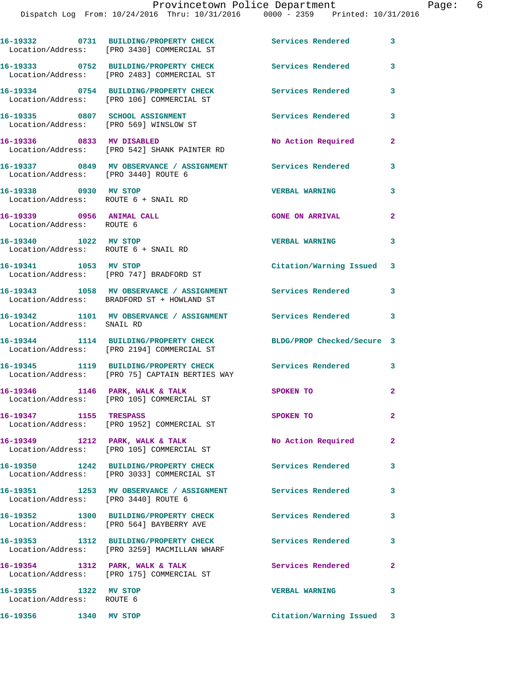Dispatch Log From: 10/24/2016 Thru: 10/31/2016 0000 - 2359 Printed: 10/31/2016

**16-19332 0731 BUILDING/PROPERTY CHECK Services Rendered 3**  Location/Address: [PRO 3430] COMMERCIAL ST **16-19333 0752 BUILDING/PROPERTY CHECK Services Rendered 3**  Location/Address: [PRO 2483] COMMERCIAL ST **16-19334 0754 BUILDING/PROPERTY CHECK Services Rendered 3**  Location/Address: [PRO 106] COMMERCIAL ST **16-19335 0807 SCHOOL ASSIGNMENT Services Rendered 3**  Location/Address: [PRO 569] WINSLOW ST **16-19336 0833 MV DISABLED No Action Required 2**  Location/Address: [PRO 542] SHANK PAINTER RD **16-19337 0849 MV OBSERVANCE / ASSIGNMENT Services Rendered 3**  Location/Address: [PRO 3440] ROUTE 6 **16-19338 0930 MV STOP VERBAL WARNING 3**  Location/Address: ROUTE 6 + SNAIL RD **16-19339 0956 ANIMAL CALL GONE ON ARRIVAL 2**  Location/Address: ROUTE 6 **16-19340 1022 MV STOP VERBAL WARNING 3**  Location/Address: ROUTE 6 + SNAIL RD **16-19341 1053 MV STOP Citation/Warning Issued 3**  Location/Address: [PRO 747] BRADFORD ST **16-19343 1058 MV OBSERVANCE / ASSIGNMENT Services Rendered 3**  Location/Address: BRADFORD ST + HOWLAND ST **16-19342 1101 MV OBSERVANCE / ASSIGNMENT Services Rendered 3**  Location/Address: SNAIL RD **16-19344 1114 BUILDING/PROPERTY CHECK BLDG/PROP Checked/Secure 3**  Location/Address: [PRO 2194] COMMERCIAL ST **16-19345 1119 BUILDING/PROPERTY CHECK Services Rendered 3**  Location/Address: [PRO 75] CAPTAIN BERTIES WAY 16-19346 1146 PARK, WALK & TALK 30 SPOKEN TO 2 Location/Address: [PRO 105] COMMERCIAL ST **16-19347 1155 TRESPASS SPOKEN TO 2**  Location/Address: [PRO 1952] COMMERCIAL ST **16-19349 1212 PARK, WALK & TALK No Action Required 2**  Location/Address: [PRO 105] COMMERCIAL ST **16-19350 1242 BUILDING/PROPERTY CHECK Services Rendered 3**  Location/Address: [PRO 3033] COMMERCIAL ST **16-19351 1253 MV OBSERVANCE / ASSIGNMENT Services Rendered 3**  Location/Address: [PRO 3440] ROUTE 6 **16-19352 1300 BUILDING/PROPERTY CHECK Services Rendered 3**  Location/Address: [PRO 564] BAYBERRY AVE **16-19353 1312 BUILDING/PROPERTY CHECK Services Rendered 3**  Location/Address: [PRO 3259] MACMILLAN WHARF 16-19354 1312 PARK, WALK & TALK 1995 Services Rendered 2 Location/Address: [PRO 175] COMMERCIAL ST **16-19355 1322 MV STOP VERBAL WARNING 3**  Location/Address: ROUTE 6 **16-19356 1340 MV STOP Citation/Warning Issued 3**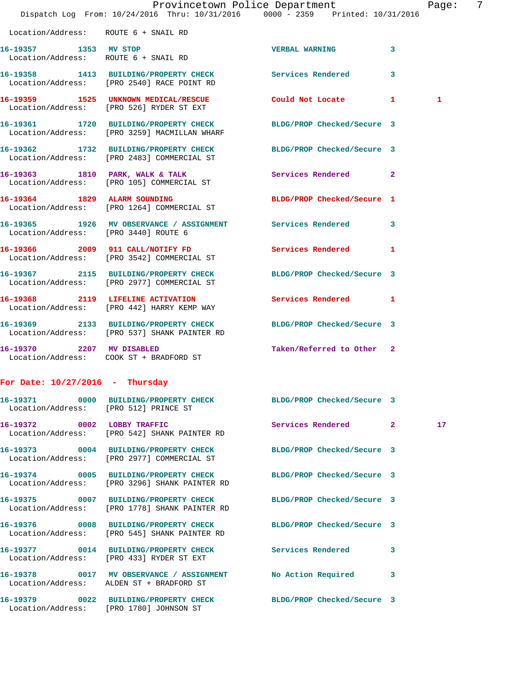|                                       | Dispatch Log From: 10/24/2016 Thru: 10/31/2016 0000 - 2359 Printed: 10/31/2016                                   | Provincetown Police Department           | 7<br>Page:      |
|---------------------------------------|------------------------------------------------------------------------------------------------------------------|------------------------------------------|-----------------|
|                                       |                                                                                                                  |                                          |                 |
| Location/Address: ROUTE 6 + SNAIL RD  |                                                                                                                  |                                          |                 |
| 16-19357 1353 MV STOP                 | Location/Address: ROUTE 6 + SNAIL RD                                                                             | <b>VERBAL WARNING</b><br>3               |                 |
|                                       | 16-19358 1413 BUILDING/PROPERTY CHECK Services Rendered<br>Location/Address: [PRO 2540] RACE POINT RD            | 3                                        |                 |
|                                       | 16-19359 1525 UNKNOWN MEDICAL/RESCUE Could Not Locate 1<br>Location/Address: [PRO 526] RYDER ST EXT              |                                          | 1               |
|                                       | 16-19361 1720 BUILDING/PROPERTY CHECK<br>Location/Address: [PRO 3259] MACMILLAN WHARF                            | BLDG/PROP Checked/Secure 3               |                 |
|                                       | 16-19362 1732 BUILDING/PROPERTY CHECK BLDG/PROP Checked/Secure 3<br>Location/Address: [PRO 2483] COMMERCIAL ST   |                                          |                 |
|                                       | 16-19363 1810 PARK, WALK & TALK<br>Location/Address: [PRO 105] COMMERCIAL ST                                     | Services Rendered 2                      |                 |
|                                       | 16-19364 1829 ALARM SOUNDING<br>Location/Address: [PRO 1264] COMMERCIAL ST                                       | BLDG/PROP Checked/Secure 1               |                 |
| Location/Address: [PRO 3440] ROUTE 6  | 16-19365 1926 MV OBSERVANCE / ASSIGNMENT Services Rendered                                                       | 3                                        |                 |
|                                       | 16-19366 2009 911 CALL/NOTIFY FD<br>Location/Address: [PRO 3542] COMMERCIAL ST                                   | <b>Services Rendered</b><br>$\mathbf{1}$ |                 |
|                                       | 16-19367 2115 BUILDING/PROPERTY CHECK<br>Location/Address: [PRO 2977] COMMERCIAL ST                              | BLDG/PROP Checked/Secure 3               |                 |
|                                       | 16-19368 2119 LIFELINE ACTIVATION<br>Location/Address: [PRO 442] HARRY KEMP WAY                                  | Services Rendered 1                      |                 |
|                                       | 16-19369 2133 BUILDING/PROPERTY CHECK BLDG/PROP Checked/Secure 3<br>Location/Address: [PRO 537] SHANK PAINTER RD |                                          |                 |
| 16-19370 2207 MV DISABLED             | Location/Address: COOK ST + BRADFORD ST                                                                          | Taken/Referred to Other 2                |                 |
| For Date: $10/27/2016$ - Thursday     |                                                                                                                  |                                          |                 |
| Location/Address: [PRO 512] PRINCE ST | 16-19371 0000 BUILDING/PROPERTY CHECK BLDG/PROP Checked/Secure 3                                                 |                                          |                 |
|                                       | 16-19372 0002 LOBBY TRAFFIC<br>Location/Address: [PRO 542] SHANK PAINTER RD                                      | Services Rendered 2                      | 17 <sub>1</sub> |
|                                       | 16-19373 0004 BUILDING/PROPERTY CHECK<br>Location/Address: [PRO 2977] COMMERCIAL ST                              | BLDG/PROP Checked/Secure 3               |                 |
|                                       | 16-19374 0005 BUILDING/PROPERTY CHECK<br>Location/Address: [PRO 3296] SHANK PAINTER RD                           | BLDG/PROP Checked/Secure 3               |                 |
|                                       | 16-19375 0007 BUILDING/PROPERTY CHECK<br>Location/Address: [PRO 1778] SHANK PAINTER RD                           | BLDG/PROP Checked/Secure 3               |                 |
|                                       | 16-19376 0008 BUILDING/PROPERTY CHECK<br>Location/Address: [PRO 545] SHANK PAINTER RD                            | BLDG/PROP Checked/Secure 3               |                 |
|                                       | 16-19377 0014 BUILDING/PROPERTY CHECK Services Rendered<br>Location/Address: [PRO 433] RYDER ST EXT              | 3                                        |                 |
|                                       | 16-19378 0017 MV OBSERVANCE / ASSIGNMENT<br>Location/Address: ALDEN ST + BRADFORD ST                             | No Action Required 3                     |                 |
|                                       | 16-19379 0022 BUILDING/PROPERTY CHECK<br>Location/Address: [PRO 1780] JOHNSON ST                                 | BLDG/PROP Checked/Secure 3               |                 |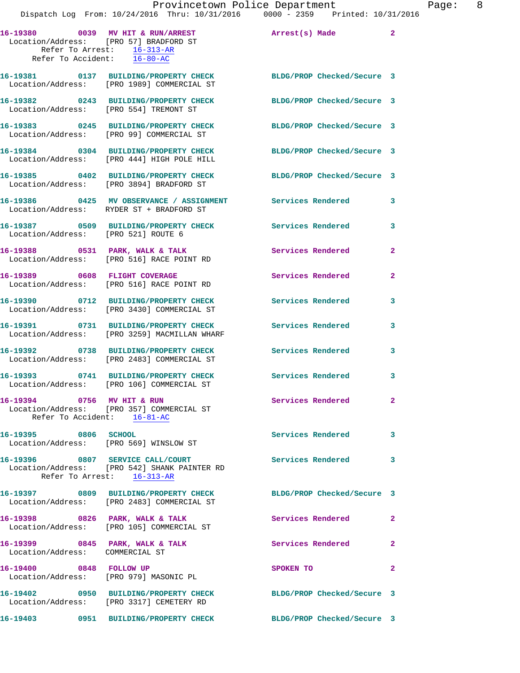|                                                                                         | Dispatch Log From: 10/24/2016 Thru: 10/31/2016 0000 - 2359 Printed: 10/31/2016                                 | Provincetown Police Department |              | Page: 8 |  |
|-----------------------------------------------------------------------------------------|----------------------------------------------------------------------------------------------------------------|--------------------------------|--------------|---------|--|
|                                                                                         |                                                                                                                |                                |              |         |  |
| Location/Address: [PRO 57] BRADFORD ST<br>Refer To Arrest: $\frac{16-313-AR}{16-80-AC}$ | 16-19380 0039 MV HIT & RUN/ARREST Arrest(s) Made 2                                                             |                                |              |         |  |
|                                                                                         |                                                                                                                |                                |              |         |  |
|                                                                                         | 16-19381 0137 BUILDING/PROPERTY CHECK BLDG/PROP Checked/Secure 3<br>Location/Address: [PRO 1989] COMMERCIAL ST |                                |              |         |  |
| Location/Address: [PRO 554] TREMONT ST                                                  | 16-19382 0243 BUILDING/PROPERTY CHECK                                                                          | BLDG/PROP Checked/Secure 3     |              |         |  |
|                                                                                         | 16-19383 0245 BUILDING/PROPERTY CHECK<br>Location/Address: [PRO 99] COMMERCIAL ST                              | BLDG/PROP Checked/Secure 3     |              |         |  |
|                                                                                         | 16-19384 0304 BUILDING/PROPERTY CHECK BLDG/PROP Checked/Secure 3<br>Location/Address: [PRO 444] HIGH POLE HILL |                                |              |         |  |
|                                                                                         | 16-19385 0402 BUILDING/PROPERTY CHECK BLDG/PROP Checked/Secure 3<br>Location/Address: [PRO 3894] BRADFORD ST   |                                |              |         |  |
|                                                                                         | 16-19386 0425 MV OBSERVANCE / ASSIGNMENT Services Rendered 3<br>Location/Address: RYDER ST + BRADFORD ST       |                                |              |         |  |
| Location/Address: [PRO 521] ROUTE 6                                                     | 16-19387 0509 BUILDING/PROPERTY CHECK Services Rendered                                                        |                                | $\mathbf{3}$ |         |  |
|                                                                                         | 16-19388 0531 PARK, WALK & TALK<br>Location/Address: [PRO 516] RACE POINT RD                                   | Services Rendered              | $\mathbf{2}$ |         |  |
|                                                                                         | 16-19389 0608 FLIGHT COVERAGE<br>Location/Address: [PRO 516] RACE POINT RD                                     | Services Rendered              | $\mathbf{2}$ |         |  |
|                                                                                         | 16-19390 0712 BUILDING/PROPERTY CHECK Services Rendered<br>Location/Address: [PRO 3430] COMMERCIAL ST          |                                | 3            |         |  |
|                                                                                         | 16-19391 0731 BUILDING/PROPERTY CHECK<br>Location/Address: [PRO 3259] MACMILLAN WHARF                          | Services Rendered              | 3            |         |  |
|                                                                                         | 16-19392 0738 BUILDING/PROPERTY CHECK<br>Location/Address: [PRO 2483] COMMERCIAL ST                            | <b>Services Rendered</b>       | 3            |         |  |
|                                                                                         | 16-19393 0741 BUILDING/PROPERTY CHECK Services Rendered 3<br>Location/Address: [PRO 106] COMMERCIAL ST         |                                |              |         |  |
| 16-19394 0756 MV HIT & RUN<br>Refer To Accident: 16-81-AC                               | Location/Address: [PRO 357] COMMERCIAL ST                                                                      | Services Rendered 2            |              |         |  |
| 16-19395 0806 SCHOOL                                                                    | Location/Address: [PRO 569] WINSLOW ST                                                                         | Services Rendered 3            |              |         |  |
| Refer To Arrest: 16-313-AR                                                              | 16-19396 0807 SERVICE CALL/COURT<br>Location/Address: [PRO 542] SHANK PAINTER RD                               | Services Rendered 3            |              |         |  |
|                                                                                         | 16-19397 0809 BUILDING/PROPERTY CHECK BLDG/PROP Checked/Secure 3<br>Location/Address: [PRO 2483] COMMERCIAL ST |                                |              |         |  |
|                                                                                         | 16-19398 0826 PARK, WALK & TALK<br>Location/Address: [PRO 105] COMMERCIAL ST                                   | Services Rendered 2            |              |         |  |
| Location/Address: COMMERCIAL ST                                                         | 16-19399 0845 PARK, WALK & TALK                                                                                | Services Rendered              | $\mathbf{2}$ |         |  |
| 16-19400 0848 FOLLOW UP                                                                 | Location/Address: [PRO 979] MASONIC PL                                                                         | SPOKEN TO                      | $\mathbf{2}$ |         |  |
|                                                                                         | 16-19402 0950 BUILDING/PROPERTY CHECK BLDG/PROP Checked/Secure 3<br>Location/Address: [PRO 3317] CEMETERY RD   |                                |              |         |  |
|                                                                                         | 16-19403 0951 BUILDING/PROPERTY CHECK BLDG/PROP Checked/Secure 3                                               |                                |              |         |  |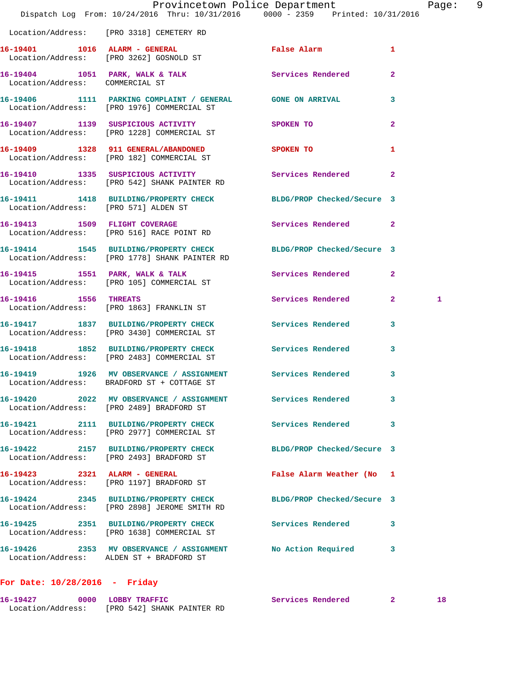|                                 | Provincetown Police Department<br>Dispatch Log From: 10/24/2016 Thru: 10/31/2016 0000 - 2359 Printed: 10/31/2016  |                            |                | Page: 9 |
|---------------------------------|-------------------------------------------------------------------------------------------------------------------|----------------------------|----------------|---------|
|                                 | Location/Address: [PRO 3318] CEMETERY RD                                                                          |                            |                |         |
|                                 | 16-19401 1016 ALARM - GENERAL<br>Location/Address: [PRO 3262] GOSNOLD ST                                          | False Alarm 1              |                |         |
| Location/Address: COMMERCIAL ST | 16-19404 1051 PARK, WALK & TALK Services Rendered 2                                                               |                            |                |         |
|                                 | 16-19406 1111 PARKING COMPLAINT / GENERAL GONE ON ARRIVAL<br>Location/Address: [PRO 1976] COMMERCIAL ST           |                            | 3              |         |
|                                 | 16-19407 1139 SUSPICIOUS ACTIVITY SPOKEN TO<br>Location/Address: [PRO 1228] COMMERCIAL ST                         |                            | $\overline{2}$ |         |
|                                 | 16-19409 1328 911 GENERAL/ABANDONED SPOKEN TO<br>Location/Address: [PRO 182] COMMERCIAL ST                        |                            | $\mathbf{1}$   |         |
|                                 | 16-19410 1335 SUSPICIOUS ACTIVITY 1999 Services Rendered 2<br>Location/Address: [PRO 542] SHANK PAINTER RD        |                            |                |         |
|                                 | 16-19411 1418 BUILDING/PROPERTY CHECK BLDG/PROP Checked/Secure 3<br>Location/Address: [PRO 571] ALDEN ST          |                            |                |         |
|                                 | 16-19413 1509 FLIGHT COVERAGE<br>Location/Address: [PRO 516] RACE POINT RD                                        | Services Rendered          | $\overline{2}$ |         |
|                                 | 16-19414 1545 BUILDING/PROPERTY CHECK BLDG/PROP Checked/Secure 3<br>Location/Address: [PRO 1778] SHANK PAINTER RD |                            |                |         |
|                                 | 16-19415 1551 PARK, WALK & TALK<br>Location/Address: [PRO 105] COMMERCIAL ST                                      | Services Rendered          | $\mathbf{2}$   |         |
| 16-19416 1556 THREATS           | Location/Address: [PRO 1863] FRANKLIN ST                                                                          | Services Rendered 2        | $\mathbf{1}$   |         |
|                                 | 16-19417 1837 BUILDING/PROPERTY CHECK<br>Location/Address: [PRO 3430] COMMERCIAL ST                               | <b>Services Rendered</b>   | 3              |         |
|                                 | 16-19418 1852 BUILDING/PROPERTY CHECK Services Rendered 3<br>Location/Address: [PRO 2483] COMMERCIAL ST           |                            |                |         |
| 16-19419                        | 1926 MV OBSERVANCE / ASSIGNMENT Services Rendered<br>Location/Address: BRADFORD ST + COTTAGE ST                   |                            | 3              |         |
|                                 | 16-19420 2022 MV OBSERVANCE / ASSIGNMENT Services Rendered<br>Location/Address: [PRO 2489] BRADFORD ST            |                            | 3              |         |
|                                 | 16-19421 2111 BUILDING/PROPERTY CHECK<br>Location/Address: [PRO 2977] COMMERCIAL ST                               | Services Rendered          | 3              |         |
|                                 | 16-19422 2157 BUILDING/PROPERTY CHECK<br>Location/Address: [PRO 2493] BRADFORD ST                                 | BLDG/PROP Checked/Secure 3 |                |         |
|                                 | 16-19423 2321 ALARM - GENERAL<br>Location/Address: [PRO 1197] BRADFORD ST                                         | False Alarm Weather (No 1  |                |         |
|                                 | 16-19424 2345 BUILDING/PROPERTY CHECK<br>Location/Address: [PRO 2898] JEROME SMITH RD                             | BLDG/PROP Checked/Secure 3 |                |         |
|                                 | 16-19425 2351 BUILDING/PROPERTY CHECK<br>Location/Address: [PRO 1638] COMMERCIAL ST                               | <b>Services Rendered</b>   | 3              |         |
|                                 | 16-19426 2353 MV OBSERVANCE / ASSIGNMENT<br>Location/Address: ALDEN ST + BRADFORD ST                              | No Action Required         | 3              |         |
|                                 |                                                                                                                   |                            |                |         |

## **For Date: 10/28/2016 - Friday**

| 16-19427          | 0000 LOBBY TRAFFIC         | Services Rendered |  |
|-------------------|----------------------------|-------------------|--|
| Location/Address: | [PRO 542] SHANK PAINTER RD |                   |  |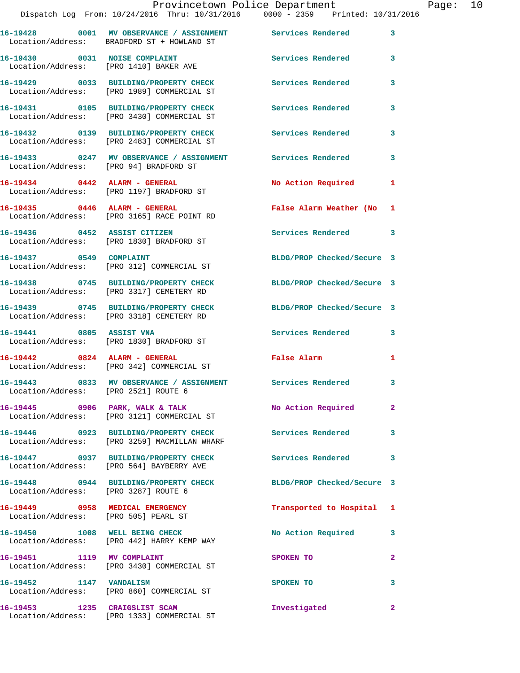|                                                                         | 16-19428 0001 MV OBSERVANCE / ASSIGNMENT Services Rendered<br>Location/Address: BRADFORD ST + HOWLAND ST |                            | $\mathbf{3}$   |
|-------------------------------------------------------------------------|----------------------------------------------------------------------------------------------------------|----------------------------|----------------|
| 16-19430 0031 NOISE COMPLAINT                                           | Location/Address: [PRO 1410] BAKER AVE                                                                   | Services Rendered          | 3              |
|                                                                         | 16-19429 0033 BUILDING/PROPERTY CHECK<br>Location/Address: [PRO 1989] COMMERCIAL ST                      | <b>Services Rendered</b>   | 3              |
|                                                                         | 16-19431 0105 BUILDING/PROPERTY CHECK<br>Location/Address: [PRO 3430] COMMERCIAL ST                      | Services Rendered          | 3              |
|                                                                         | 16-19432 0139 BUILDING/PROPERTY CHECK<br>Location/Address: [PRO 2483] COMMERCIAL ST                      | Services Rendered          | 3              |
| Location/Address: [PRO 94] BRADFORD ST                                  | 16-19433 0247 MV OBSERVANCE / ASSIGNMENT                                                                 | Services Rendered          | 3              |
|                                                                         | 16-19434 0442 ALARM - GENERAL<br>Location/Address: [PRO 1197] BRADFORD ST                                | No Action Required         | 1              |
| 16-19435 0446 ALARM - GENERAL                                           | Location/Address: [PRO 3165] RACE POINT RD                                                               | False Alarm Weather (No 1  |                |
| 16-19436  0452 ASSIST CITIZEN                                           | Location/Address: [PRO 1830] BRADFORD ST                                                                 | Services Rendered 3        |                |
| 16-19437 0549 COMPLAINT                                                 | Location/Address: [PRO 312] COMMERCIAL ST                                                                | BLDG/PROP Checked/Secure 3 |                |
|                                                                         | 16-19438 0745 BUILDING/PROPERTY CHECK<br>Location/Address: [PRO 3317] CEMETERY RD                        | BLDG/PROP Checked/Secure 3 |                |
|                                                                         | 16-19439 0745 BUILDING/PROPERTY CHECK<br>Location/Address: [PRO 3318] CEMETERY RD                        | BLDG/PROP Checked/Secure 3 |                |
| 16-19441 0805 ASSIST VNA                                                | Location/Address: [PRO 1830] BRADFORD ST                                                                 | Services Rendered          | 3              |
|                                                                         | 16-19442 0824 ALARM - GENERAL<br>Location/Address: [PRO 342] COMMERCIAL ST                               | False Alarm                | 1              |
| Location/Address: [PRO 2521] ROUTE 6                                    | 16-19443 0833 MV OBSERVANCE / ASSIGNMENT Services Rendered                                               |                            | 3              |
|                                                                         | 16-19445 0906 PARK, WALK & TALK<br>Location/Address: [PRO 3121] COMMERCIAL ST                            | No Action Required         | $\mathbf{2}^-$ |
|                                                                         | 16-19446 0923 BUILDING/PROPERTY CHECK<br>Location/Address: [PRO 3259] MACMILLAN WHARF                    | <b>Services Rendered</b>   | 3              |
|                                                                         | 16-19447 0937 BUILDING/PROPERTY CHECK<br>Location/Address: [PRO 564] BAYBERRY AVE                        | <b>Services Rendered</b>   | 3              |
| Location/Address: [PRO 3287] ROUTE 6                                    | 16-19448 0944 BUILDING/PROPERTY CHECK                                                                    | BLDG/PROP Checked/Secure 3 |                |
| 16-19449 0958 MEDICAL EMERGENCY<br>Location/Address: [PRO 505] PEARL ST |                                                                                                          | Transported to Hospital 1  |                |
|                                                                         | 16-19450 1008 WELL BEING CHECK<br>Location/Address: [PRO 442] HARRY KEMP WAY                             | No Action Required         | 3              |
| 16-19451 1119 MV COMPLAINT                                              | Location/Address: [PRO 3430] COMMERCIAL ST                                                               | SPOKEN TO                  | $\mathbf{2}$   |
| 16-19452 1147 VANDALISM                                                 | Location/Address: [PRO 860] COMMERCIAL ST                                                                | SPOKEN TO                  | 3              |
| 16-19453 1235 CRAIGSLIST SCAM                                           | Location/Address: [PRO 1333] COMMERCIAL ST                                                               | Investigated               | $\overline{2}$ |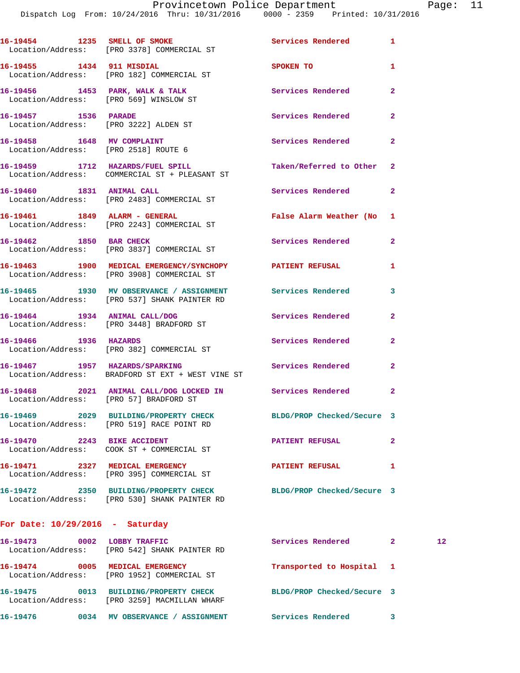|                                                                           | 16-19454 1235 SMELL OF SMOKE<br>Location/Address: [PRO 3378] COMMERCIAL ST               | Services Rendered          | $\mathbf{1}$   |
|---------------------------------------------------------------------------|------------------------------------------------------------------------------------------|----------------------------|----------------|
| 16-19455 1434 911 MISDIAL                                                 | Location/Address: [PRO 182] COMMERCIAL ST                                                | SPOKEN TO                  | $\mathbf{1}$   |
| 16-19456 1453 PARK, WALK & TALK<br>Location/Address: [PRO 569] WINSLOW ST |                                                                                          | Services Rendered          | $\mathbf{2}$   |
| 16-19457 1536 PARADE<br>Location/Address: [PRO 3222] ALDEN ST             |                                                                                          | Services Rendered          | $\mathbf{2}$   |
| 16-19458 1648 MV COMPLAINT<br>Location/Address: [PRO 2518] ROUTE 6        |                                                                                          | <b>Services Rendered</b>   | $\overline{2}$ |
| 16-19459 1712 HAZARDS/FUEL SPILL                                          | Location/Address: COMMERCIAL ST + PLEASANT ST                                            | Taken/Referred to Other    | 2              |
| 16-19460 1831 ANIMAL CALL                                                 | Location/Address: [PRO 2483] COMMERCIAL ST                                               | Services Rendered          | $\mathbf{2}$   |
| 16-19461 1849 ALARM - GENERAL                                             | Location/Address: [PRO 2243] COMMERCIAL ST                                               | False Alarm Weather (No 1  |                |
| 16-19462 1850 BAR CHECK                                                   | Location/Address: [PRO 3837] COMMERCIAL ST                                               | Services Rendered          | $\overline{a}$ |
|                                                                           | 16-19463 1900 MEDICAL EMERGENCY/SYNCHOPY<br>Location/Address: [PRO 3908] COMMERCIAL ST   | <b>PATIENT REFUSAL</b>     | 1              |
|                                                                           | 16-19465 1930 MV OBSERVANCE / ASSIGNMENT<br>Location/Address: [PRO 537] SHANK PAINTER RD | Services Rendered          | 3              |
|                                                                           | 16-19464   1934   ANIMAL CALL/DOG<br>Location/Address: [PRO 3448] BRADFORD ST            | Services Rendered          | $\mathbf{2}$   |
| 16-19466 1936 HAZARDS                                                     | Location/Address: [PRO 382] COMMERCIAL ST                                                | Services Rendered          | $\mathbf{2}$   |
|                                                                           | 16-19467 1957 HAZARDS/SPARKING<br>Location/Address: BRADFORD ST EXT + WEST VINE ST       | Services Rendered          | $\mathbf{2}$   |
| Location/Address: [PRO 57] BRADFORD ST                                    | 16-19468 2021 ANIMAL CALL/DOG LOCKED IN Services Rendered                                |                            | $\mathbf{2}$   |
|                                                                           | 16-19469 2029 BUILDING/PROPERTY CHECK<br>Location/Address: [PRO 519] RACE POINT RD       | BLDG/PROP Checked/Secure 3 |                |
| 16-19470 2243 BIKE ACCIDENT                                               | Location/Address: COOK ST + COMMERCIAL ST                                                | <b>PATIENT REFUSAL</b>     | $\overline{2}$ |
| 16-19471 2327 MEDICAL EMERGENCY                                           | Location/Address: [PRO 395] COMMERCIAL ST                                                | <b>PATIENT REFUSAL</b>     | 1              |
|                                                                           | Location/Address: [PRO 530] SHANK PAINTER RD                                             | BLDG/PROP Checked/Secure 3 |                |
|                                                                           |                                                                                          |                            |                |

## **For Date: 10/29/2016 - Saturday**

| 16–19473<br>Location/Address: | 0002 | LOBBY TRAFFIC<br>[PRO 542] SHANK PAINTER RD                  | Services Rendered          | 12 <sup>1</sup> |
|-------------------------------|------|--------------------------------------------------------------|----------------------------|-----------------|
| 16-19474<br>Location/Address: | 0005 | MEDICAL EMERGENCY<br>[PRO 1952] COMMERCIAL ST                | Transported to Hospital 1  |                 |
| 16-19475<br>Location/Address: | 0013 | <b>BUILDING/PROPERTY CHECK</b><br>[PRO 3259] MACMILLAN WHARF | BLDG/PROP Checked/Secure 3 |                 |
| 16-19476                      | 0034 | MV OBSERVANCE<br><b>ASSIGNMENT</b>                           | Services Rendered          |                 |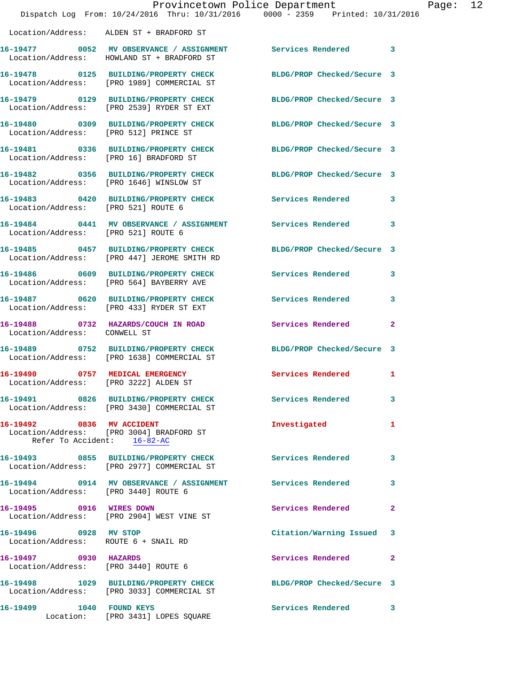|                                                               | Dispatch Log From: 10/24/2016 Thru: 10/31/2016 0000 - 2359 Printed: 10/31/2016                                  | Provincetown Police Department |              | Page: 12 |  |
|---------------------------------------------------------------|-----------------------------------------------------------------------------------------------------------------|--------------------------------|--------------|----------|--|
|                                                               | Location/Address: ALDEN ST + BRADFORD ST                                                                        |                                |              |          |  |
|                                                               | 16-19477 0052 MV OBSERVANCE / ASSIGNMENT Services Rendered 3<br>Location/Address: HOWLAND ST + BRADFORD ST      |                                |              |          |  |
|                                                               | 16-19478 0125 BUILDING/PROPERTY CHECK BLDG/PROP Checked/Secure 3<br>Location/Address: [PRO 1989] COMMERCIAL ST  |                                |              |          |  |
|                                                               | 16-19479 0129 BUILDING/PROPERTY CHECK<br>Location/Address: [PRO 2539] RYDER ST EXT                              | BLDG/PROP Checked/Secure 3     |              |          |  |
|                                                               | 16-19480 0309 BUILDING/PROPERTY CHECK BLDG/PROP Checked/Secure 3<br>Location/Address: [PRO 512] PRINCE ST       |                                |              |          |  |
|                                                               | 16-19481   0336 BUILDING/PROPERTY CHECK BLDG/PROP Checked/Secure 3   Location/Address: [PRO 16] BRADFORD ST     |                                |              |          |  |
|                                                               | 16-19482 0356 BUILDING/PROPERTY CHECK BLDG/PROP Checked/Secure 3<br>Location/Address: [PRO 1646] WINSLOW ST     |                                |              |          |  |
| Location/Address: [PRO 521] ROUTE 6                           | 16-19483 0420 BUILDING/PROPERTY CHECK Services Rendered 3                                                       |                                |              |          |  |
| Location/Address: [PRO 521] ROUTE 6                           | 16-19484 0441 MV OBSERVANCE / ASSIGNMENT Services Rendered                                                      |                                | 3            |          |  |
|                                                               | 16-19485 0457 BUILDING/PROPERTY CHECK BLDG/PROP Checked/Secure 3<br>Location/Address: [PRO 447] JEROME SMITH RD |                                |              |          |  |
|                                                               | 16-19486 0609 BUILDING/PROPERTY CHECK Services Rendered<br>Location/Address: [PRO 564] BAYBERRY AVE             |                                | 3            |          |  |
|                                                               | 16-19487 0620 BUILDING/PROPERTY CHECK Services Rendered 3<br>Location/Address: [PRO 433] RYDER ST EXT           |                                |              |          |  |
| Location/Address: CONWELL ST                                  | 16-19488 0732 HAZARDS/COUCH IN ROAD Services Rendered                                                           |                                | -2           |          |  |
|                                                               | 16-19489 0752 BUILDING/PROPERTY CHECK BLDG/PROP Checked/Secure 3<br>Location/Address: [PRO 1638] COMMERCIAL ST  |                                |              |          |  |
| 16-19490 0757 MEDICAL EMERGENCY                               | Location/Address: [PRO 3222] ALDEN ST                                                                           | Services Rendered              | 1            |          |  |
|                                                               | 16-19491 0826 BUILDING/PROPERTY CHECK<br>Location/Address: [PRO 3430] COMMERCIAL ST                             | Services Rendered              | 3            |          |  |
| Refer To Accident: 16-82-AC                                   | 16-19492 0836 MV ACCIDENT<br>Location/Address: [PRO 3004] BRADFORD ST                                           | Investigated                   | 1            |          |  |
|                                                               | 16-19493 0855 BUILDING/PROPERTY CHECK Services Rendered 3<br>Location/Address: [PRO 2977] COMMERCIAL ST         |                                |              |          |  |
| Location/Address: [PRO 3440] ROUTE 6                          | 16-19494 0914 MV OBSERVANCE / ASSIGNMENT Services Rendered                                                      |                                | 3            |          |  |
| 16-19495 0916 WIRES DOWN                                      | Location/Address: [PRO 2904] WEST VINE ST                                                                       | Services Rendered              | $\mathbf{2}$ |          |  |
| 16-19496 0928 MV STOP<br>Location/Address: ROUTE 6 + SNAIL RD |                                                                                                                 | Citation/Warning Issued 3      |              |          |  |
| 16-19497 0930 HAZARDS                                         | Location/Address: [PRO 3440] ROUTE 6                                                                            | Services Rendered              | $\mathbf{2}$ |          |  |
|                                                               | 16-19498 1029 BUILDING/PROPERTY CHECK BLDG/PROP Checked/Secure 3<br>Location/Address: [PRO 3033] COMMERCIAL ST  |                                |              |          |  |
| 16-19499 1040 FOUND KEYS                                      | Location: [PRO 3431] LOPES SQUARE                                                                               | Services Rendered              | 3            |          |  |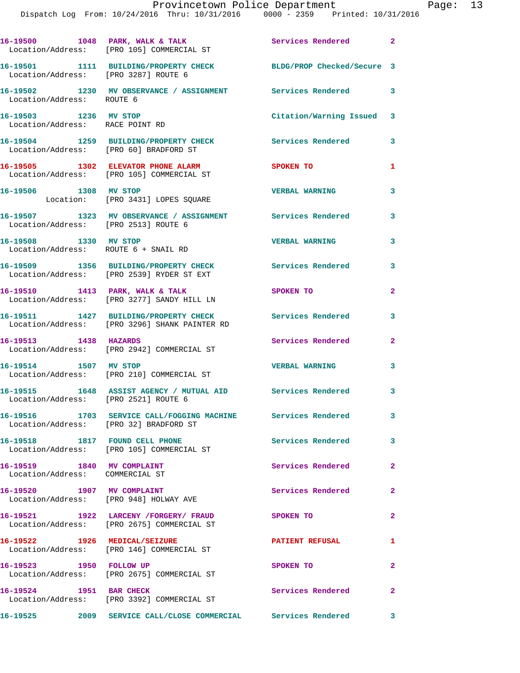|                                                                      | 16-19500 1048 PARK, WALK & TALK<br>Location/Address: [PRO 105] COMMERCIAL ST                    | Services Rendered 2       |                            |
|----------------------------------------------------------------------|-------------------------------------------------------------------------------------------------|---------------------------|----------------------------|
| Location/Address: [PRO 3287] ROUTE 6                                 | 16-19501 1111 BUILDING/PROPERTY CHECK BLDG/PROP Checked/Secure 3                                |                           |                            |
|                                                                      | 16-19502 1230 MV OBSERVANCE / ASSIGNMENT Services Rendered 3<br>Location/Address: ROUTE 6       |                           |                            |
| 16-19503 1236 MV STOP<br>Location/Address: RACE POINT RD             |                                                                                                 | Citation/Warning Issued 3 |                            |
| Location/Address: [PRO 60] BRADFORD ST                               | 16-19504 1259 BUILDING/PROPERTY CHECK                                                           | Services Rendered         | 3                          |
|                                                                      | 16-19505 1302 ELEVATOR PHONE ALARM<br>Location/Address: [PRO 105] COMMERCIAL ST                 | <b>SPOKEN TO</b>          | 1                          |
| 16-19506 1308 MV STOP                                                | Location: [PRO 3431] LOPES SQUARE                                                               | <b>VERBAL WARNING</b>     | 3                          |
| Location/Address: [PRO 2513] ROUTE 6                                 | 16-19507 1323 MV OBSERVANCE / ASSIGNMENT Services Rendered                                      |                           | 3                          |
| 16-19508 1330 MV STOP                                                | Location/Address: ROUTE 6 + SNAIL RD                                                            | <b>VERBAL WARNING</b>     | 3                          |
|                                                                      | 16-19509 1356 BUILDING/PROPERTY CHECK<br>Location/Address: [PRO 2539] RYDER ST EXT              | Services Rendered         | 3                          |
|                                                                      | 16-19510 1413 PARK, WALK & TALK<br>Location/Address: [PRO 3277] SANDY HILL LN                   | SPOKEN TO                 | $\overline{2}$             |
|                                                                      | 16-19511 1427 BUILDING/PROPERTY CHECK<br>Location/Address: [PRO 3296] SHANK PAINTER RD          | <b>Services Rendered</b>  | 3                          |
| 16-19513 1438 HAZARDS                                                | Location/Address: [PRO 2942] COMMERCIAL ST                                                      | Services Rendered         | $\overline{2}$             |
| 16-19514 1507 MV STOP                                                | Location/Address: [PRO 210] COMMERCIAL ST                                                       | <b>VERBAL WARNING</b>     | 3                          |
| Location/Address: [PRO 2521] ROUTE 6                                 | 16-19515 1648 ASSIST AGENCY / MUTUAL AID Services Rendered 3                                    |                           |                            |
| Location/Address: [PRO 32] BRADFORD ST                               | 16-19516 1703 SERVICE CALL/FOGGING MACHINE Services Rendered                                    |                           | 3                          |
| 16-19518 1817 FOUND CELL PHONE                                       | Location/Address: [PRO 105] COMMERCIAL ST                                                       | Services Rendered         | $\overline{\mathbf{3}}$    |
| 16-19519 1840 MV COMPLAINT<br>Location/Address: COMMERCIAL ST        |                                                                                                 | Services Rendered         | $\mathbf{2}$               |
| 16-19520 1907 MV COMPLAINT<br>Location/Address: [PRO 948] HOLWAY AVE |                                                                                                 | Services Rendered         | $\mathbf{2}$               |
|                                                                      | 16-19521 1922 LARCENY / FORGERY / FRAUD SPOKEN TO<br>Location/Address: [PRO 2675] COMMERCIAL ST |                           | $\mathbf{2}$               |
| 16-19522 1926 MEDICAL/SEIZURE                                        | Location/Address: [PRO 146] COMMERCIAL ST                                                       | <b>PATIENT REFUSAL</b>    | $\mathbf{1}$               |
| 16-19523 1950 FOLLOW UP                                              | Location/Address: [PRO 2675] COMMERCIAL ST                                                      | SPOKEN TO                 | $\mathbf{2}$               |
| 16-19524 1951 BAR CHECK                                              | Location/Address: [PRO 3392] COMMERCIAL ST                                                      | Services Rendered         | $\overline{\phantom{0}}$ 2 |
|                                                                      |                                                                                                 | $\sim$ 3                  |                            |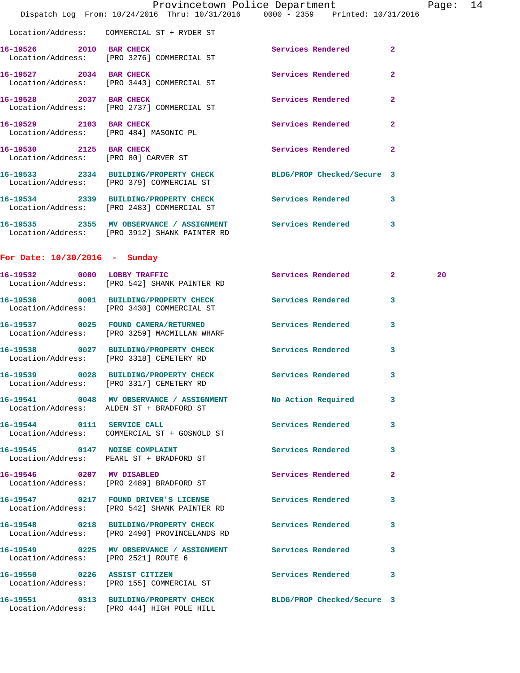|                                      | Dispatch Log From: 10/24/2016 Thru: 10/31/2016 0000 - 2359 Printed: 10/31/2016                                 | Provincetown Police Department |                         | Page: | 14 |
|--------------------------------------|----------------------------------------------------------------------------------------------------------------|--------------------------------|-------------------------|-------|----|
|                                      | Location/Address: COMMERCIAL ST + RYDER ST                                                                     |                                |                         |       |    |
| 16-19526 2010 BAR CHECK              | Location/Address: [PRO 3276] COMMERCIAL ST                                                                     | Services Rendered              | $\mathbf{2}$            |       |    |
| 16-19527 2034 BAR CHECK              | Location/Address: [PRO 3443] COMMERCIAL ST                                                                     | Services Rendered              | $\overline{2}$          |       |    |
| 16-19528 2037 BAR CHECK              | Location/Address: [PRO 2737] COMMERCIAL ST                                                                     | Services Rendered              | $\overline{2}$          |       |    |
|                                      | 16-19529 2103 BAR CHECK<br>Location/Address: [PRO 484] MASONIC PL                                              | Services Rendered              | $\mathbf{2}$            |       |    |
| 16-19530 2125 BAR CHECK              | Location/Address: [PRO 80] CARVER ST                                                                           | Services Rendered 2            |                         |       |    |
|                                      | 16-19533 2334 BUILDING/PROPERTY CHECK BLDG/PROP Checked/Secure 3<br>Location/Address: [PRO 379] COMMERCIAL ST  |                                |                         |       |    |
|                                      | 16-19534 2339 BUILDING/PROPERTY CHECK Services Rendered 3<br>Location/Address: [PRO 2483] COMMERCIAL ST        |                                |                         |       |    |
|                                      | 16-19535 2355 MV OBSERVANCE / ASSIGNMENT Services Rendered 3<br>Location/Address: [PRO 3912] SHANK PAINTER RD  |                                |                         |       |    |
| For Date: $10/30/2016$ - Sunday      |                                                                                                                |                                |                         |       |    |
|                                      | 16-19532 0000 LOBBY TRAFFIC<br>Location/Address: [PRO 542] SHANK PAINTER RD                                    | Services Rendered 2            |                         | 20    |    |
|                                      | 16-19536 0001 BUILDING/PROPERTY CHECK<br>Location/Address: [PRO 3430] COMMERCIAL ST                            | <b>Services Rendered</b>       | $\mathbf{3}$            |       |    |
|                                      | 16-19537 0025 FOUND CAMERA/RETURNED<br>Location/Address: [PRO 3259] MACMILLAN WHARF                            | Services Rendered              | 3                       |       |    |
|                                      | 16-19538 0027 BUILDING/PROPERTY CHECK<br>Location/Address: [PRO 3318] CEMETERY RD                              | <b>Services Rendered</b>       | 3                       |       |    |
|                                      | 16-19539 0028 BUILDING/PROPERTY CHECK Services Rendered<br>Location/Address: [PRO 3317] CEMETERY RD            |                                | $\overline{\mathbf{3}}$ |       |    |
|                                      | 16-19541 0048 MV OBSERVANCE / ASSIGNMENT No Action Required 3<br>Location/Address: ALDEN ST + BRADFORD ST      |                                |                         |       |    |
|                                      | 16-19544 0111 SERVICE CALL<br>Location/Address: COMMERCIAL ST + GOSNOLD ST                                     | Services Rendered 3            |                         |       |    |
|                                      | 16-19545 0147 NOISE COMPLAINT<br>Location/Address: PEARL ST + BRADFORD ST                                      | Services Rendered 3            |                         |       |    |
|                                      | 16-19546 0207 MV DISABLED<br>Location/Address: [PRO 2489] BRADFORD ST                                          | Services Rendered 2            |                         |       |    |
|                                      | 16-19547 0217 FOUND DRIVER'S LICENSE Services Rendered 3<br>Location/Address: [PRO 542] SHANK PAINTER RD       |                                |                         |       |    |
|                                      | 16-19548 0218 BUILDING/PROPERTY CHECK Services Rendered 3<br>Location/Address: [PRO 2490] PROVINCELANDS RD     |                                |                         |       |    |
| Location/Address: [PRO 2521] ROUTE 6 | 16-19549 0225 MV OBSERVANCE / ASSIGNMENT Services Rendered 3                                                   |                                |                         |       |    |
|                                      | 16-19550 0226 ASSIST CITIZEN<br>Location/Address: [PRO 155] COMMERCIAL ST                                      | Services Rendered 3            |                         |       |    |
|                                      | 16-19551 0313 BUILDING/PROPERTY CHECK BLDG/PROP Checked/Secure 3<br>Location/Address: [PRO 444] HIGH POLE HILL |                                |                         |       |    |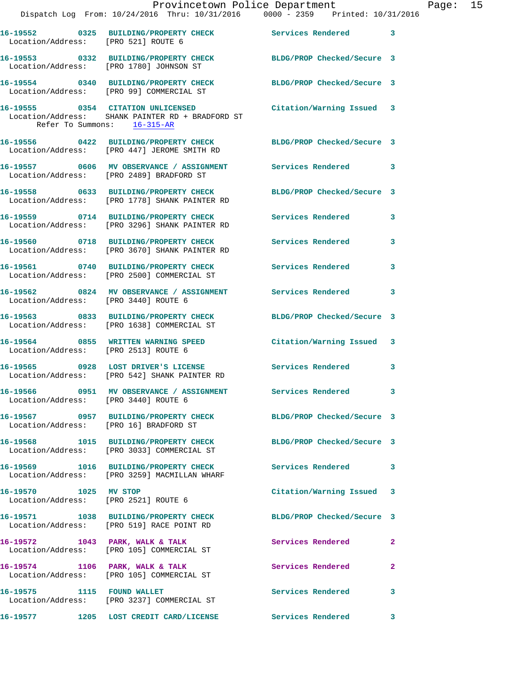|                                        | Dispatch Log From: 10/24/2016 Thru: 10/31/2016 0000 - 2359 Printed: 10/31/2016                                    | Provincetown Police Department |              | Page: 15 |  |
|----------------------------------------|-------------------------------------------------------------------------------------------------------------------|--------------------------------|--------------|----------|--|
| Location/Address: [PRO 521] ROUTE 6    | 16-19552 0325 BUILDING/PROPERTY CHECK Services Rendered 3                                                         |                                |              |          |  |
|                                        | 16-19553 0332 BUILDING/PROPERTY CHECK BLDG/PROP Checked/Secure 3<br>Location/Address: [PRO 1780] JOHNSON ST       |                                |              |          |  |
|                                        | 16-19554 0340 BUILDING/PROPERTY CHECK BLDG/PROP Checked/Secure 3<br>Location/Address: [PRO 99] COMMERCIAL ST      |                                |              |          |  |
| Refer To Summons: 16-315-AR            | 16-19555 0354 CITATION UNLICENSED Citation/Warning Issued 3<br>Location/Address: SHANK PAINTER RD + BRADFORD ST   |                                |              |          |  |
|                                        | 16-19556 0422 BUILDING/PROPERTY CHECK BLDG/PROP Checked/Secure 3<br>Location/Address: [PRO 447] JEROME SMITH RD   |                                |              |          |  |
|                                        | 16-19557 0606 MV OBSERVANCE / ASSIGNMENT Services Rendered 3<br>Location/Address: [PRO 2489] BRADFORD ST          |                                |              |          |  |
|                                        | 16-19558 0633 BUILDING/PROPERTY CHECK BLDG/PROP Checked/Secure 3<br>Location/Address: [PRO 1778] SHANK PAINTER RD |                                |              |          |  |
|                                        | 16-19559 0714 BUILDING/PROPERTY CHECK Services Rendered 3<br>Location/Address: [PRO 3296] SHANK PAINTER RD        |                                |              |          |  |
|                                        | 16-19560 0718 BUILDING/PROPERTY CHECK Services Rendered 3<br>Location/Address: [PRO 3670] SHANK PAINTER RD        |                                |              |          |  |
|                                        | 16-19561 0740 BUILDING/PROPERTY CHECK Services Rendered<br>Location/Address: [PRO 2500] COMMERCIAL ST             |                                | 3            |          |  |
| Location/Address: [PRO 3440] ROUTE 6   | 16-19562 0824 MV OBSERVANCE / ASSIGNMENT Services Rendered 3                                                      |                                |              |          |  |
|                                        | 16-19563 0833 BUILDING/PROPERTY CHECK BLDG/PROP Checked/Secure 3<br>Location/Address: [PRO 1638] COMMERCIAL ST    |                                |              |          |  |
| Location/Address: [PRO 2513] ROUTE 6   | 16-19564 0855 WRITTEN WARNING SPEED                                                                               | Citation/Warning Issued 3      |              |          |  |
|                                        | 16-19565 0928 LOST DRIVER'S LICENSE Services Rendered 3<br>Location/Address: [PRO 542] SHANK PAINTER RD           |                                |              |          |  |
| Location/Address: [PRO 3440] ROUTE 6   | 16-19566 0951 MV OBSERVANCE / ASSIGNMENT Services Rendered 3                                                      |                                |              |          |  |
| Location/Address: [PRO 16] BRADFORD ST | 16-19567 0957 BUILDING/PROPERTY CHECK BLDG/PROP Checked/Secure 3                                                  |                                |              |          |  |
|                                        | 16-19568 1015 BUILDING/PROPERTY CHECK BLDG/PROP Checked/Secure 3<br>Location/Address: [PRO 3033] COMMERCIAL ST    |                                |              |          |  |
|                                        | 16-19569 1016 BUILDING/PROPERTY CHECK Services Rendered 3<br>Location/Address: [PRO 3259] MACMILLAN WHARF         |                                |              |          |  |
| 16-19570 1025 MV STOP                  | Location/Address: [PRO 2521] ROUTE 6                                                                              | Citation/Warning Issued 3      |              |          |  |
|                                        | 16-19571 1038 BUILDING/PROPERTY CHECK BLDG/PROP Checked/Secure 3<br>Location/Address: [PRO 519] RACE POINT RD     |                                |              |          |  |
|                                        | 16-19572 1043 PARK, WALK & TALK<br>Location/Address: [PRO 105] COMMERCIAL ST                                      | Services Rendered              | -2           |          |  |
|                                        | 16-19574 1106 PARK, WALK & TALK<br>Location/Address: [PRO 105] COMMERCIAL ST                                      | Services Rendered              | $\mathbf{2}$ |          |  |
|                                        | 16-19575 1115 FOUND WALLET<br>Location/Address: [PRO 3237] COMMERCIAL ST                                          | Services Rendered              | 3            |          |  |
|                                        | 16-19577 1205 LOST CREDIT CARD/LICENSE Services Rendered 3                                                        |                                |              |          |  |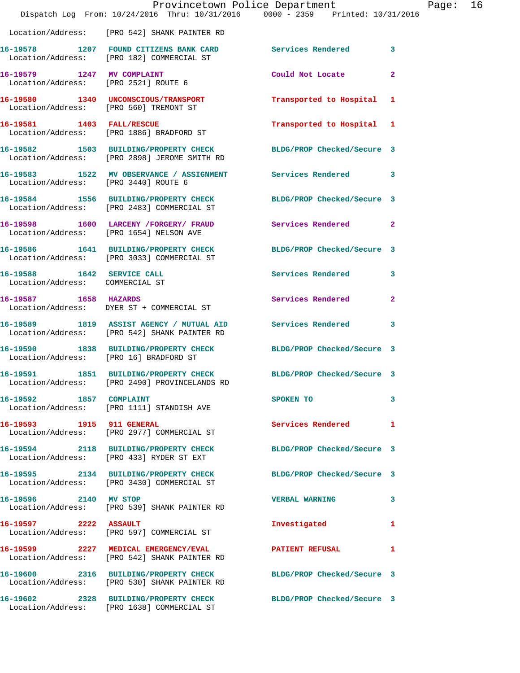|                                                               | Provincetown Police Department<br>Dispatch Log From: 10/24/2016 Thru: 10/31/2016 0000 - 2359 Printed: 10/31/2016  |                            |              | Page: 16 |  |
|---------------------------------------------------------------|-------------------------------------------------------------------------------------------------------------------|----------------------------|--------------|----------|--|
|                                                               | Location/Address: [PRO 542] SHANK PAINTER RD                                                                      |                            |              |          |  |
|                                                               | 16-19578 1207 FOUND CITIZENS BANK CARD Services Rendered 3<br>Location/Address: [PRO 182] COMMERCIAL ST           |                            |              |          |  |
|                                                               | 16-19579 1247 MV COMPLAINT<br>Location/Address: [PRO 2521] ROUTE 6                                                | Could Not Locate 2         |              |          |  |
|                                                               | 16-19580 1340 UNCONSCIOUS/TRANSPORT<br>Location/Address: [PRO 560] TREMONT ST                                     | Transported to Hospital 1  |              |          |  |
|                                                               | 16-19581 1403 FALL/RESCUE<br>Location/Address: [PRO 1886] BRADFORD ST                                             | Transported to Hospital 1  |              |          |  |
|                                                               | 16-19582 1503 BUILDING/PROPERTY CHECK BLDG/PROP Checked/Secure 3<br>Location/Address: [PRO 2898] JEROME SMITH RD  |                            |              |          |  |
| Location/Address: [PRO 3440] ROUTE 6                          | 16-19583 1522 MV OBSERVANCE / ASSIGNMENT Services Rendered 3                                                      |                            |              |          |  |
|                                                               | 16-19584 1556 BUILDING/PROPERTY CHECK BLDG/PROP Checked/Secure 3<br>Location/Address: [PRO 2483] COMMERCIAL ST    |                            |              |          |  |
|                                                               | 16-19598 1600 LARCENY / FORGERY / FRAUD Services Rendered 2<br>Location/Address: [PRO 1654] NELSON AVE            |                            |              |          |  |
|                                                               | 16-19586 1641 BUILDING/PROPERTY CHECK BLDG/PROP Checked/Secure 3<br>Location/Address: [PRO 3033] COMMERCIAL ST    |                            |              |          |  |
| 16-19588 1642 SERVICE CALL<br>Location/Address: COMMERCIAL ST |                                                                                                                   | Services Rendered 3        |              |          |  |
| 16-19587 1658 HAZARDS                                         | Location/Address: DYER ST + COMMERCIAL ST                                                                         | Services Rendered 2        |              |          |  |
|                                                               | 16-19589 1819 ASSIST AGENCY / MUTUAL AID Services Rendered 3<br>Location/Address: [PRO 542] SHANK PAINTER RD      |                            |              |          |  |
| Location/Address: [PRO 16] BRADFORD ST                        | 16-19590 1838 BUILDING/PROPERTY CHECK BLDG/PROP Checked/Secure 3                                                  |                            |              |          |  |
|                                                               | 16-19591 1851 BUILDING/PROPERTY CHECK BLDG/PROP Checked/Secure 3<br>Location/Address: [PRO 2490] PROVINCELANDS RD |                            |              |          |  |
| 16-19592 1857 COMPLAINT                                       | Location/Address: [PRO 1111] STANDISH AVE                                                                         | SPOKEN TO                  | 3            |          |  |
|                                                               | 16-19593 1915 911 GENERAL<br>Location/Address: [PRO 2977] COMMERCIAL ST                                           | Services Rendered 1        |              |          |  |
|                                                               | 16-19594 2118 BUILDING/PROPERTY CHECK BLDG/PROP Checked/Secure 3<br>Location/Address: [PRO 433] RYDER ST EXT      |                            |              |          |  |
|                                                               | 16-19595 2134 BUILDING/PROPERTY CHECK<br>Location/Address: [PRO 3430] COMMERCIAL ST                               | BLDG/PROP Checked/Secure 3 |              |          |  |
| 16-19596 2140 MV STOP                                         | Location/Address: [PRO 539] SHANK PAINTER RD                                                                      | VERBAL WARNING 3           |              |          |  |
| 16-19597 2222 ASSAULT                                         | Location/Address: [PRO 597] COMMERCIAL ST                                                                         | Investigated               | 1            |          |  |
|                                                               | 16-19599 2227 MEDICAL EMERGENCY/EVAL 2011 PATIENT REFUSAL<br>Location/Address: [PRO 542] SHANK PAINTER RD         |                            | $\mathbf{1}$ |          |  |
|                                                               | 16-19600 2316 BUILDING/PROPERTY CHECK BLDG/PROP Checked/Secure 3<br>Location/Address: [PRO 530] SHANK PAINTER RD  |                            |              |          |  |
|                                                               | 16-19602 2328 BUILDING/PROPERTY CHECK BLDG/PROP Checked/Secure 3<br>Location/Address: [PRO 1638] COMMERCIAL ST    |                            |              |          |  |